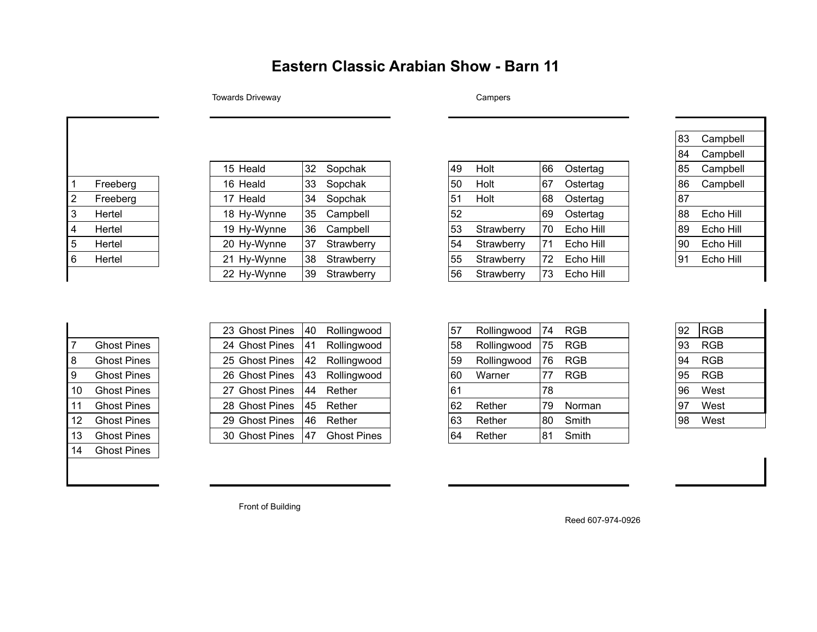## **Eastern Classic Arabian Show - Barn 11**

## Towards Driveway **Campers** Campers

| 1              | Freeberg |
|----------------|----------|
| $\overline{2}$ | Freeberg |
| 3              | Hertel   |
| 4              | Hertel   |
| 5              | Hertel   |
| 6              | Hertel   |
|                |          |

| 32 | Sopchak    |
|----|------------|
| 33 | Sopchak    |
| 34 | Sopchak    |
| 35 | Campbell   |
| 36 | Campbell   |
| 37 | Strawberry |
| 38 | Strawberry |
| 39 | Strawberry |
|    |            |

## 15 Heald 32 Sopchak 49 Holt 66 Ostertag 85 Campbell 1 Freeberg 16 Heald 33 Sopchak 50 Holt 67 Ostertag 86 Campbell 2 Freeberg 17 Heald 34 Sopchak 51 Holt 68 Ostertag 87 3 Hertel 18 Hy-Wynne 35 Campbell 52 69 Ostertag 88 Echo Hill 4 Hertel 19 Hy-Wynne 36 Campbell 53 Strawberry 70 Echo Hill 89 Echo Hill 5 Hertel 20 Hy-Wynne 37 Strawberry 54 Strawberry 71 Echo Hill 90 Echo Hill 6 Hertel 21 Hy-Wynne 38 Strawberry 55 Strawberry 72 Echo Hill 91 Echo Hill 56 Strawberry  $|73 \text{ Echo Hill}$

| 83 | Campbell  |  |
|----|-----------|--|
| 84 | Campbell  |  |
| 85 | Campbell  |  |
| 86 | Campbell  |  |
| 87 |           |  |
| 88 | Echo Hill |  |
| 89 | Echo Hill |  |
| 90 | Echo Hill |  |
| 91 | Echo Hill |  |
|    |           |  |

| 7  | <b>Ghost Pines</b> |
|----|--------------------|
| 8  | <b>Ghost Pines</b> |
| 9  | <b>Ghost Pines</b> |
| 10 | Ghost Pines        |
| 11 | <b>Ghost Pines</b> |
| 12 | <b>Ghost Pines</b> |
| 13 | <b>Ghost Pines</b> |
| 14 | Ghost Pines        |
|    |                    |

|                 |                    | 23 Ghost Pines | 40 | Rollingwood        | 57 | Rollingwood | 74 | <b>RGB</b> |
|-----------------|--------------------|----------------|----|--------------------|----|-------------|----|------------|
|                 | <b>Ghost Pines</b> | 24 Ghost Pines | 41 | Rollingwood        | 58 | Rollingwood | 75 | <b>RGB</b> |
| 8.              | <b>Ghost Pines</b> | 25 Ghost Pines | 42 | Rollingwood        | 59 | Rollingwood | 76 | <b>RGB</b> |
| 9               | <b>Ghost Pines</b> | 26 Ghost Pines | 43 | Rollingwood        | 60 | Warner      | 77 | <b>RGB</b> |
| 10              | <b>Ghost Pines</b> | 27 Ghost Pines | 44 | Rether             | 61 |             | 78 |            |
| 11              | <b>Ghost Pines</b> | 28 Ghost Pines | 45 | Rether             | 62 | Rether      | 79 | Norma      |
| 12 <sup>2</sup> | <b>Ghost Pines</b> | 29 Ghost Pines | 46 | Rether             | 63 | Rether      | 80 | Smith      |
| 13              | <b>Ghost Pines</b> | 30 Ghost Pines | 47 | <b>Ghost Pines</b> | 64 | Rether      | 81 | Smith      |

|                 |                    | 23 Ghost Pines | 40   | Rollingwood        | ,57 | Rollingwood | 74  | <b>RGB</b> | 92  | RGB        |
|-----------------|--------------------|----------------|------|--------------------|-----|-------------|-----|------------|-----|------------|
|                 | <b>Ghost Pines</b> | 24 Ghost Pines | 41   | Rollingwood        | 58  | Rollingwood | 75  | <b>RGB</b> | 93  | <b>RGB</b> |
| 8               | <b>Ghost Pines</b> | 25 Ghost Pines | 42   | Rollingwood        | 59  | Rollingwood | !76 | <b>RGB</b> | 94  | <b>RGB</b> |
| 9.              | <b>Ghost Pines</b> | 26 Ghost Pines | 143  | Rollingwood        | 60  | Warner      | 177 | <b>RGB</b> | 95  | RGB        |
| 10              | <b>Ghost Pines</b> | 27 Ghost Pines | 44   | Rether             | 61  |             | 78  |            | 96  | West       |
| 11              | <b>Ghost Pines</b> | 28 Ghost Pines | l 45 | Rether             | 62  | Rether      | 79  | Norman     | 197 | West       |
| 12 <sup>1</sup> | <b>Ghost Pines</b> | 29 Ghost Pines | 146. | Rether             | 63  | Rether      | 80  | Smith      | 98  | West       |
| 13              | <b>Ghost Pines</b> | 30 Ghost Pines | 147  | <b>Ghost Pines</b> | 64  | Rether      | 81  | Smith      |     |            |
|                 |                    |                |      |                    |     |             |     |            |     |            |

| 92 | <b>RGB</b> |  |
|----|------------|--|
| 93 | RGB        |  |
| 94 | RGB        |  |
| 95 | RGB        |  |
| 96 | West       |  |
| 97 | West       |  |
| 98 | West       |  |

Front of Building

Reed 607-974-0926